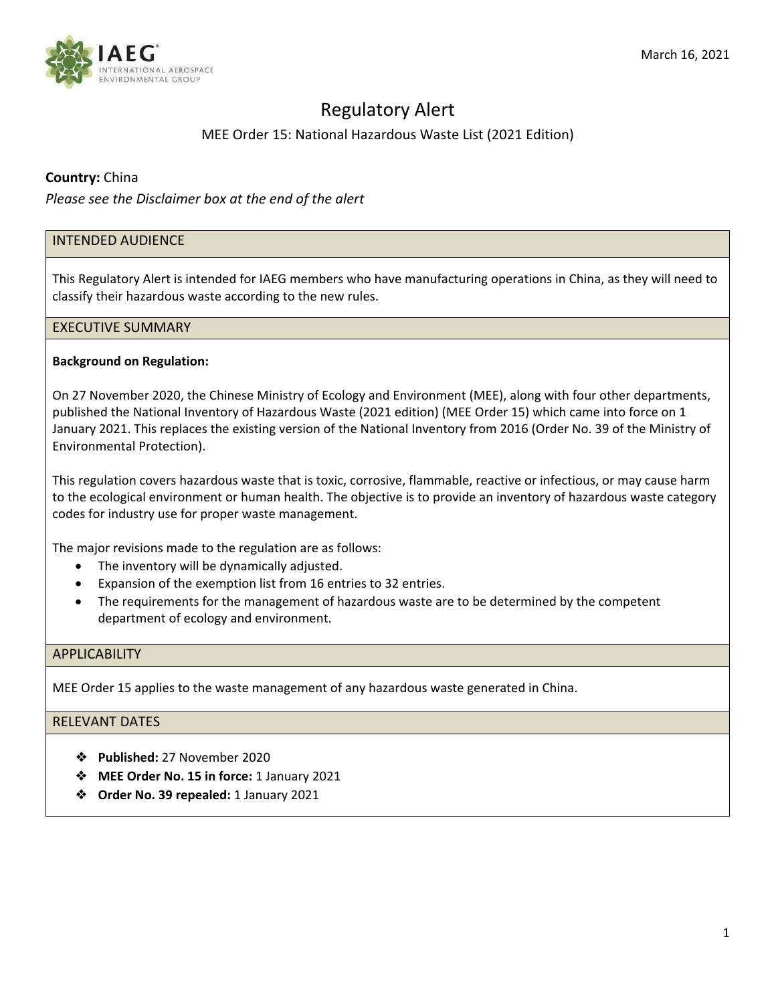

# Regulatory Alert

# MEE Order 15: National Hazardous Waste List (2021 Edition)

## **Country:** China

*Please see the Disclaimer box at the end of the alert*

## INTENDED AUDIENCE

This Regulatory Alert is intended for IAEG members who have manufacturing operations in China, as they will need to classify their hazardous waste according to the new rules.

### EXECUTIVE SUMMARY

#### **Background on Regulation:**

On 27 November 2020, the Chinese Ministry of Ecology and Environment (MEE), along with four other departments, published the National Inventory of Hazardous Waste (2021 edition) (MEE Order 15) which came into force on 1 January 2021. This replaces the existing version of the National Inventory from 2016 (Order No. 39 of the Ministry of Environmental Protection).

This regulation covers hazardous waste that is toxic, corrosive, flammable, reactive or infectious, or may cause harm to the ecological environment or human health. The objective is to provide an inventory of hazardous waste category codes for industry use for proper waste management.

The major revisions made to the regulation are as follows:

- The inventory will be dynamically adjusted.
- Expansion of the exemption list from 16 entries to 32 entries.
- The requirements for the management of hazardous waste are to be determined by the competent department of ecology and environment.

## **APPLICABILITY**

MEE Order 15 applies to the waste management of any hazardous waste generated in China.

# RELEVANT DATES

- ❖ **Published:** 27 November 2020
- ❖ **MEE Order No. 15 in force:** 1 January 2021
- ❖ **Order No. 39 repealed:** 1 January 2021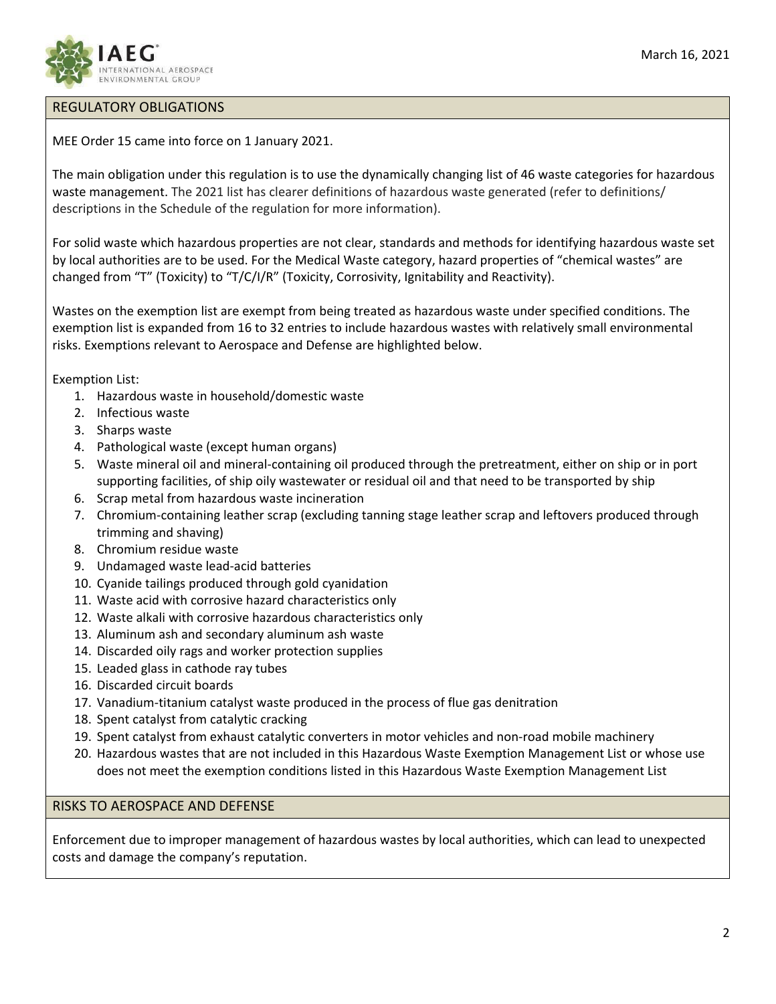

# REGULATORY OBLIGATIONS

MEE Order 15 came into force on 1 January 2021.

The main obligation under this regulation is to use the dynamically changing list of 46 waste categories for hazardous waste management. The 2021 list has clearer definitions of hazardous waste generated (refer to definitions/ descriptions in the Schedule of the regulation for more information).

For solid waste which hazardous properties are not clear, standards and methods for identifying hazardous waste set by local authorities are to be used. For the Medical Waste category, hazard properties of "chemical wastes" are changed from "T" (Toxicity) to "T/C/I/R" (Toxicity, Corrosivity, Ignitability and Reactivity).

Wastes on the exemption list are exempt from being treated as hazardous waste under specified conditions. The exemption list is expanded from 16 to 32 entries to include hazardous wastes with relatively small environmental risks. Exemptions relevant to Aerospace and Defense are highlighted below.

Exemption List:

- 1. Hazardous waste in household/domestic waste
- 2. Infectious waste
- 3. Sharps waste
- 4. Pathological waste (except human organs)
- 5. Waste mineral oil and mineral-containing oil produced through the pretreatment, either on ship or in port supporting facilities, of ship oily wastewater or residual oil and that need to be transported by ship
- 6. Scrap metal from hazardous waste incineration
- 7. Chromium‐containing leather scrap (excluding tanning stage leather scrap and leftovers produced through trimming and shaving)
- 8. Chromium residue waste
- 9. Undamaged waste lead‐acid batteries
- 10. Cyanide tailings produced through gold cyanidation
- 11. Waste acid with corrosive hazard characteristics only
- 12. Waste alkali with corrosive hazardous characteristics only
- 13. Aluminum ash and secondary aluminum ash waste
- 14. Discarded oily rags and worker protection supplies
- 15. Leaded glass in cathode ray tubes
- 16. Discarded circuit boards
- 17. Vanadium‐titanium catalyst waste produced in the process of flue gas denitration
- 18. Spent catalyst from catalytic cracking
- 19. Spent catalyst from exhaust catalytic converters in motor vehicles and non-road mobile machinery
- 20. Hazardous wastes that are not included in this Hazardous Waste Exemption Management List or whose use does not meet the exemption conditions listed in this Hazardous Waste Exemption Management List

### RISKS TO AEROSPACE AND DEFENSE

Enforcement due to improper management of hazardous wastes by local authorities, which can lead to unexpected costs and damage the company's reputation.